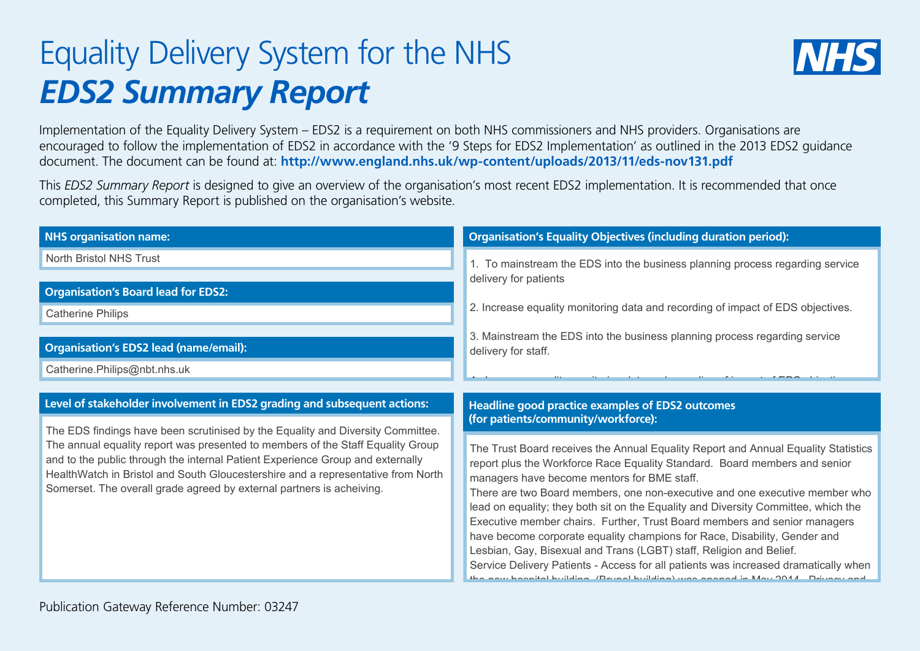## Equality Delivery System for the NHS *EDS2 Summary Report*



Implementation of the Equality Delivery System – EDS2 is a requirement on both NHS commissioners and NHS providers. Organisations are encouraged to follow the implementation of EDS2 in accordance with the '9 Steps for EDS2 Implementation' as outlined in the 2013 EDS2 guidance document. The document can be found at: **http://www.england.nhs.uk/wp-content/uploads/2013/11/eds-nov131.pdf**

This *EDS2 Summary Report* is designed to give an overview of the organisation's most recent EDS2 implementation. It is recommended that once completed, this Summary Report is published on the organisation's website.

| <b>NHS organisation name:</b>                                                                                                                                                                                                                         | <b>Organisation's Equality Objectives (including duration period):</b>                                                                                                                                                                         |
|-------------------------------------------------------------------------------------------------------------------------------------------------------------------------------------------------------------------------------------------------------|------------------------------------------------------------------------------------------------------------------------------------------------------------------------------------------------------------------------------------------------|
| <b>North Bristol NHS Trust</b>                                                                                                                                                                                                                        | 1. To mainstream the EDS into the business planning process regarding service                                                                                                                                                                  |
|                                                                                                                                                                                                                                                       | delivery for patients                                                                                                                                                                                                                          |
| <b>Organisation's Board lead for EDS2:</b>                                                                                                                                                                                                            |                                                                                                                                                                                                                                                |
| <b>Catherine Philips</b>                                                                                                                                                                                                                              | 2. Increase equality monitoring data and recording of impact of EDS objectives.                                                                                                                                                                |
| <b>Organisation's EDS2 lead (name/email):</b>                                                                                                                                                                                                         | 3. Mainstream the EDS into the business planning process regarding service<br>delivery for staff.                                                                                                                                              |
| Catherine.Philips@nbt.nhs.uk                                                                                                                                                                                                                          |                                                                                                                                                                                                                                                |
|                                                                                                                                                                                                                                                       |                                                                                                                                                                                                                                                |
| Level of stakeholder involvement in EDS2 grading and subsequent actions:                                                                                                                                                                              | Headline good practice examples of EDS2 outcomes<br>(for patients/community/workforce):                                                                                                                                                        |
| The EDS findings have been scrutinised by the Equality and Diversity Committee.                                                                                                                                                                       |                                                                                                                                                                                                                                                |
| The annual equality report was presented to members of the Staff Equality Group<br>and to the public through the internal Patient Experience Group and externally<br>HealthWatch in Bristol and South Gloucestershire and a representative from North | The Trust Board receives the Annual Equality Report and Annual Equality Statistics<br>report plus the Workforce Race Equality Standard. Board members and senior<br>managers have become mentors for BME staff.                                |
| Somerset. The overall grade agreed by external partners is acheiving.                                                                                                                                                                                 | There are two Board members, one non-executive and one executive member who<br>lead on equality; they both sit on the Equality and Diversity Committee, which the<br>Executive member chairs. Further, Trust Board members and senior managers |
|                                                                                                                                                                                                                                                       | have become corporate equality champions for Race, Disability, Gender and                                                                                                                                                                      |
|                                                                                                                                                                                                                                                       | Lesbian, Gay, Bisexual and Trans (LGBT) staff, Religion and Belief.                                                                                                                                                                            |
|                                                                                                                                                                                                                                                       | Service Delivery Patients - Access for all patients was increased dramatically when<br>the new heapital huilding (Drunal huilding) was energed in May 2011. Driveau and                                                                        |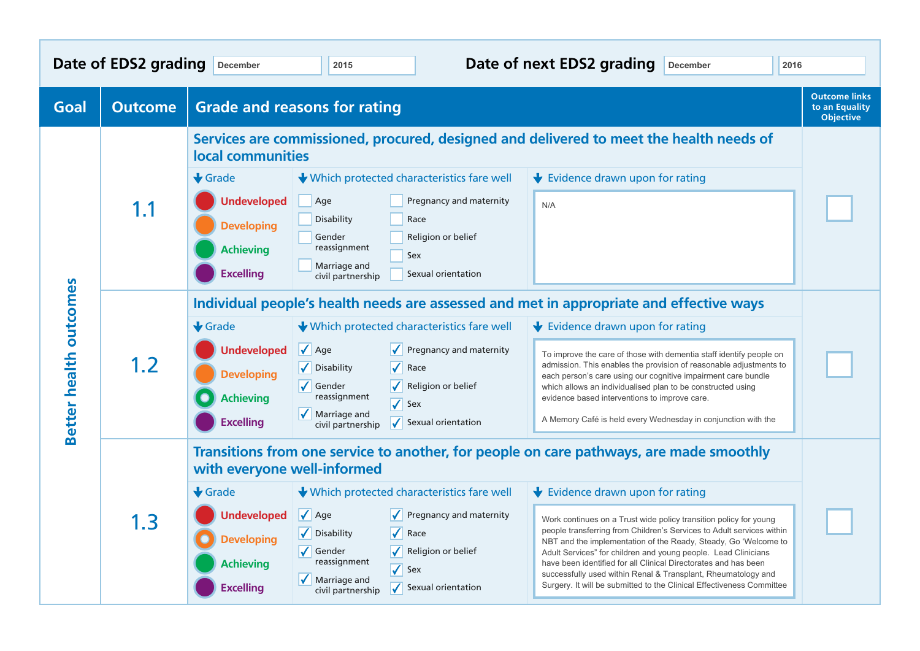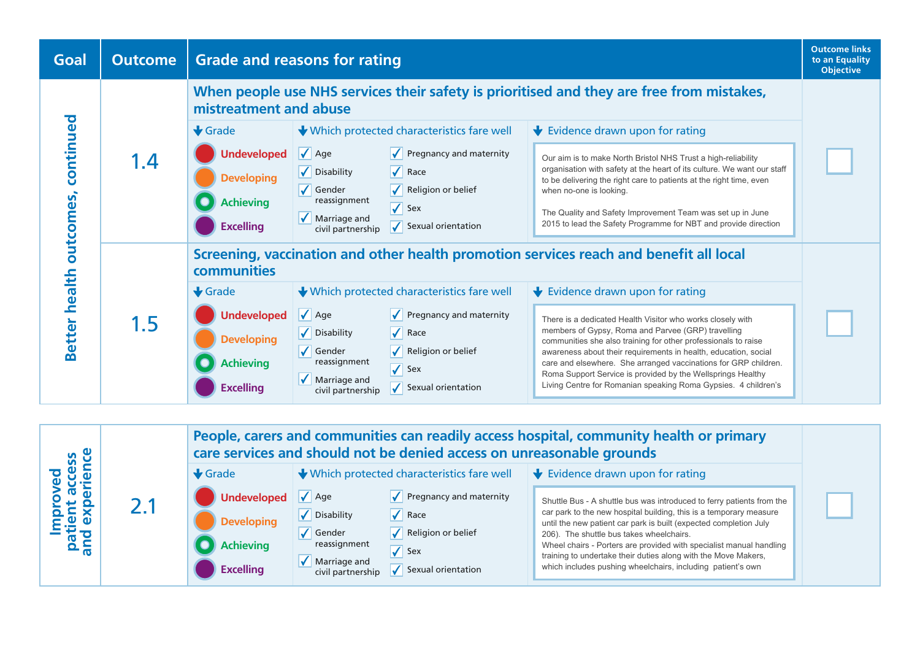

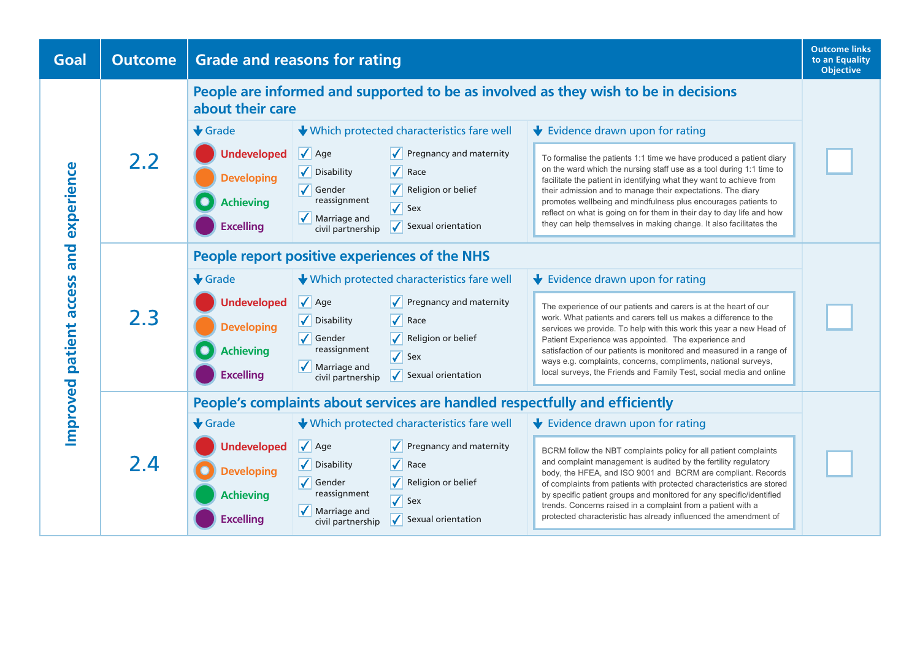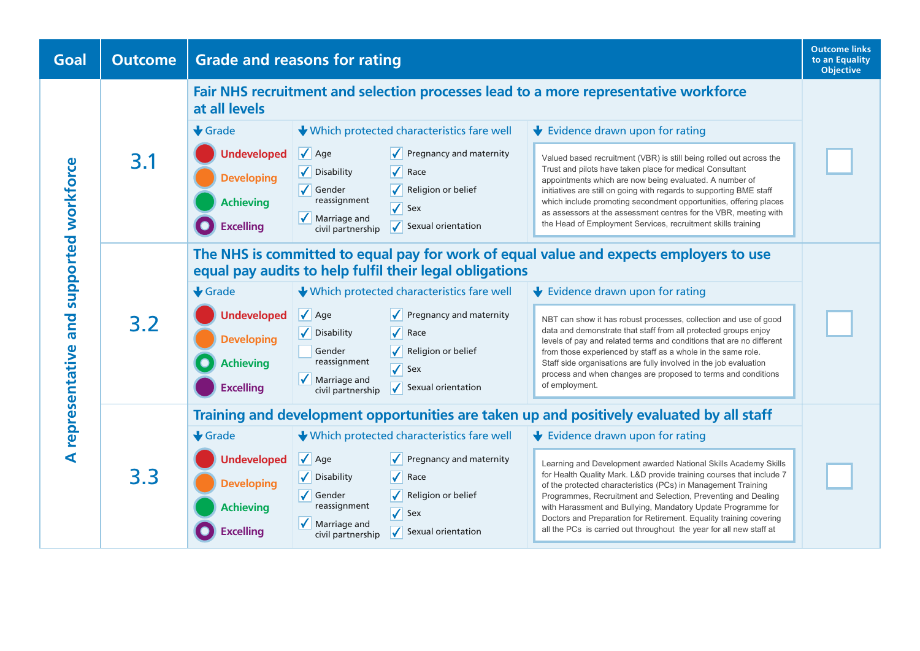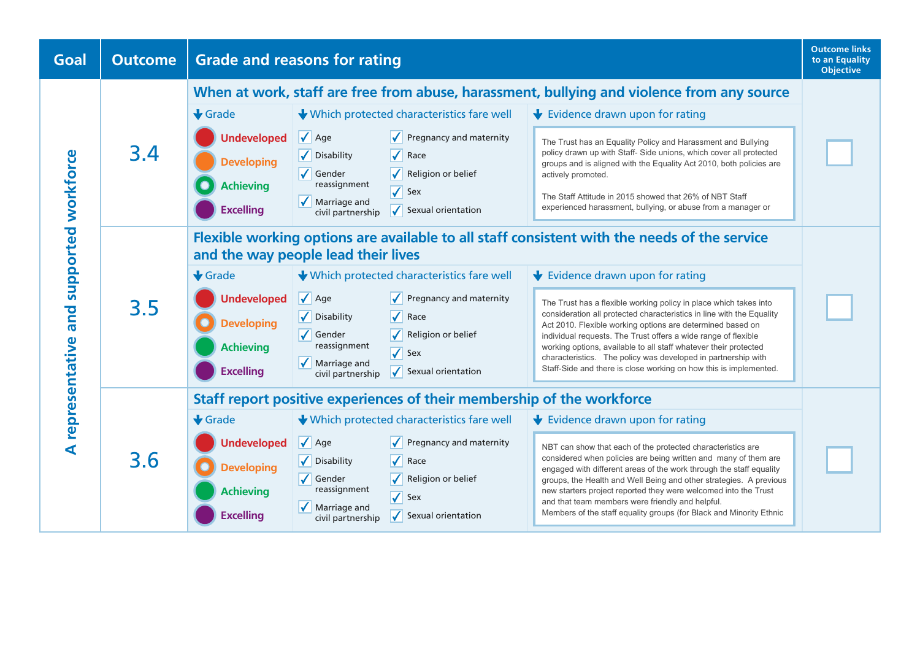